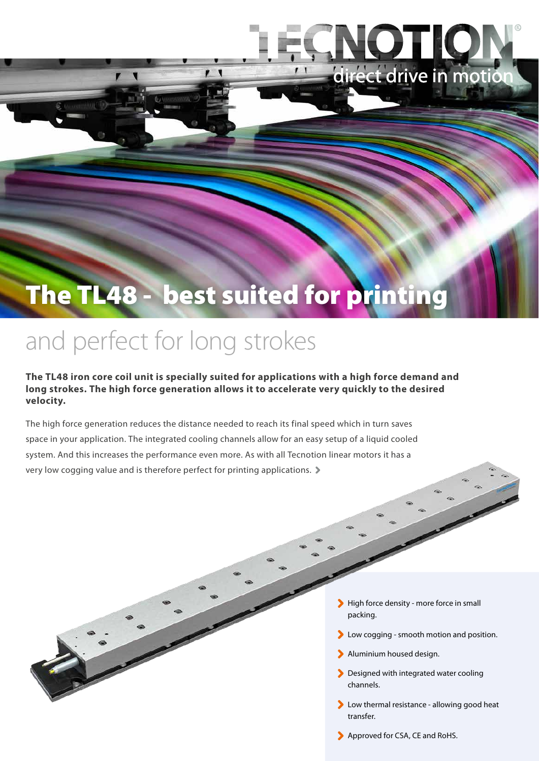## The TL48 - best suited for printing

## and perfect for long strokes

**The TL48 iron core coil unit is specially suited for applications with a high force demand and long strokes. The high force generation allows it to accelerate very quickly to the desired velocity.** 

The high force generation reduces the distance needed to reach its final speed which in turn saves space in your application. The integrated cooling channels allow for an easy setup of a liquid cooled system. And this increases the performance even more. As with all Tecnotion linear motors it has a very low cogging value and is therefore perfect for printing applications.

- High force density more force in small packing.
- **Low cogging smooth motion and position.**
- Aluminium housed design.

LO

direct drive in motion

- **Designed with integrated water cooling** channels.
- **Low thermal resistance allowing good heat** transfer.
- Approved for CSA, CE and RoHS.